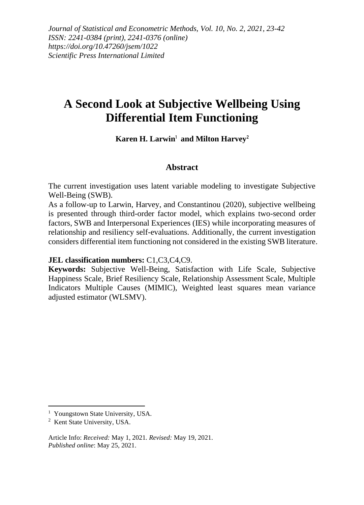*Journal of Statistical and Econometric Methods, Vol. 10, No. 2, 2021, 23-42 ISSN: 2241-0384 (print), 2241-0376 (online) https://doi.org/10.47260/jsem/1022 Scientific Press International Limited*

# **A Second Look at Subjective Wellbeing Using Differential Item Functioning**

#### **Karen H. Larwin**<sup>1</sup> **and Milton Harvey**<sup>2</sup>

#### **Abstract**

The current investigation uses latent variable modeling to investigate Subjective Well-Being (SWB).

As a follow-up to Larwin, Harvey, and Constantinou (2020), subjective wellbeing is presented through third-order factor model, which explains two-second order factors, SWB and Interpersonal Experiences (IES) while incorporating measures of relationship and resiliency self-evaluations. Additionally, the current investigation considers differential item functioning not considered in the existing SWB literature.

**JEL classification numbers:** C1,C3,C4,C9.

**Keywords:** Subjective Well-Being, Satisfaction with Life Scale, Subjective Happiness Scale, Brief Resiliency Scale, Relationship Assessment Scale, Multiple Indicators Multiple Causes (MIMIC), Weighted least squares mean variance adjusted estimator (WLSMV).

<sup>&</sup>lt;sup>1</sup> Youngstown State University, USA.

<sup>2</sup> Kent State University, USA.

Article Info: *Received:* May 1, 2021*. Revised:* May 19, 2021. *Published online*: May 25, 2021.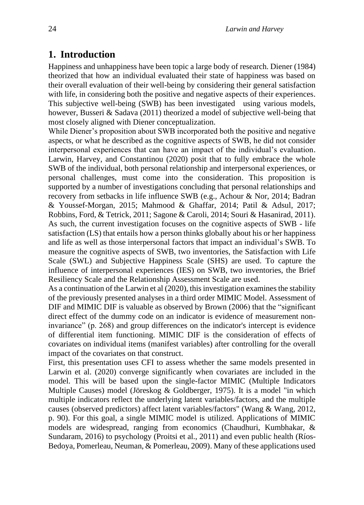# **1. Introduction**

Happiness and unhappiness have been topic a large body of research. Diener (1984) theorized that how an individual evaluated their state of happiness was based on their overall evaluation of their well-being by considering their general satisfaction with life, in considering both the positive and negative aspects of their experiences. This subjective well-being (SWB) has been investigated using various models, however, Busseri & Sadava (2011) theorized a model of subjective well-being that most closely aligned with Diener conceptualization.

While Diener's proposition about SWB incorporated both the positive and negative aspects, or what he described as the cognitive aspects of SWB, he did not consider interpersonal experiences that can have an impact of the individual's evaluation. Larwin, Harvey, and Constantinou (2020) posit that to fully embrace the whole SWB of the individual, both personal relationship and interpersonal experiences, or personal challenges, must come into the consideration. This proposition is supported by a number of investigations concluding that personal relationships and recovery from setbacks in life influence SWB (e.g., Achour & Nor, 2014; Badran & Youssef-Morgan, 2015; Mahmood & Ghaffar, 2014; Patil & Adsul, 2017; Robbins, Ford, & Tetrick, 2011; Sagone & Caroli, 2014; Souri & Hasanirad, 2011). As such, the current investigation focuses on the cognitive aspects of SWB - life satisfaction (LS) that entails how a person thinks globally about his or her happiness and life as well as those interpersonal factors that impact an individual's SWB. To measure the cognitive aspects of SWB, two inventories, the Satisfaction with Life Scale (SWL) and Subjective Happiness Scale (SHS) are used. To capture the influence of interpersonal experiences (IES) on SWB, two inventories, the Brief Resiliency Scale and the Relationship Assessment Scale are used.

As a continuation of the Larwin et al (2020), this investigation examines the stability of the previously presented analyses in a third order MIMIC Model. Assessment of DIF and MIMIC DIF is valuable as observed by Brown (2006) that the "significant direct effect of the dummy code on an indicator is evidence of measurement noninvariance" (p. 268) and group differences on the indicator's intercept is evidence of differential item functioning. MIMIC DIF is the consideration of effects of covariates on individual items (manifest variables) after controlling for the overall impact of the covariates on that construct.

First, this presentation uses CFI to assess whether the same models presented in Larwin et al. (2020) converge significantly when covariates are included in the model. This will be based upon the single-factor MIMIC (Multiple Indicators Multiple Causes) model (Jöreskog & Goldberger, 1975). It is a model "in which multiple indicators reflect the underlying latent variables/factors, and the multiple causes (observed predictors) affect latent variables/factors" (Wang & Wang, 2012, p. 90). For this goal, a single MIMIC model is utilized. Applications of MIMIC models are widespread, ranging from economics (Chaudhuri, Kumbhakar, & Sundaram, 2016) to psychology (Proitsi et al., 2011) and even public health (Ríos-Bedoya, Pomerleau, Neuman, & Pomerleau, 2009). Many of these applications used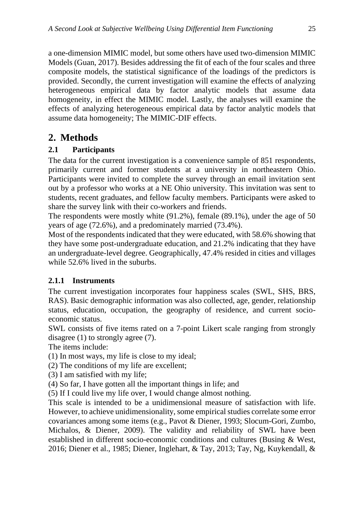a one-dimension MIMIC model, but some others have used two-dimension MIMIC Models (Guan, 2017). Besides addressing the fit of each of the four scales and three composite models, the statistical significance of the loadings of the predictors is provided. Secondly, the current investigation will examine the effects of analyzing heterogeneous empirical data by factor analytic models that assume data homogeneity, in effect the MIMIC model. Lastly, the analyses will examine the effects of analyzing heterogeneous empirical data by factor analytic models that assume data homogeneity; The MIMIC-DIF effects.

# **2. Methods**

### **2.1 Participants**

The data for the current investigation is a convenience sample of 851 respondents, primarily current and former students at a university in northeastern Ohio. Participants were invited to complete the survey through an email invitation sent out by a professor who works at a NE Ohio university. This invitation was sent to students, recent graduates, and fellow faculty members. Participants were asked to share the survey link with their co-workers and friends.

The respondents were mostly white (91.2%), female (89.1%), under the age of 50 years of age (72.6%), and a predominately married (73.4%).

Most of the respondents indicated that they were educated, with 58.6% showing that they have some post-undergraduate education, and 21.2% indicating that they have an undergraduate-level degree. Geographically, 47.4% resided in cities and villages while 52.6% lived in the suburbs.

### **2.1.1 Instruments**

The current investigation incorporates four happiness scales (SWL, SHS, BRS, RAS). Basic demographic information was also collected, age, gender, relationship status, education, occupation, the geography of residence, and current socioeconomic status.

SWL consists of five items rated on a 7-point Likert scale ranging from strongly disagree (1) to strongly agree (7).

The items include:

(1) In most ways, my life is close to my ideal;

(2) The conditions of my life are excellent;

(3) I am satisfied with my life;

(4) So far, I have gotten all the important things in life; and

(5) If I could live my life over, I would change almost nothing.

This scale is intended to be a unidimensional measure of satisfaction with life. However, to achieve unidimensionality, some empirical studies correlate some error covariances among some items (e.g., Pavot & Diener, 1993; Slocum-Gori, Zumbo, Michalos, & Diener, 2009). The validity and reliability of SWL have been established in different socio-economic conditions and cultures (Busing & West, 2016; Diener et al., 1985; Diener, Inglehart, & Tay, 2013; Tay, Ng, Kuykendall, &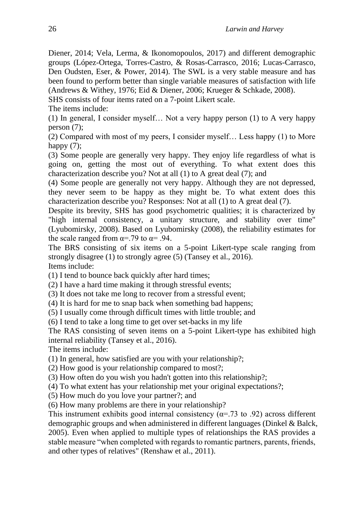Diener, 2014; Vela, Lerma, & Ikonomopoulos, 2017) and different demographic groups (López-Ortega, Torres-Castro, & Rosas-Carrasco, 2016; Lucas-Carrasco, Den Oudsten, Eser, & Power, 2014). The SWL is a very stable measure and has been found to perform better than single variable measures of satisfaction with life (Andrews & Withey, 1976; Eid & Diener, 2006; Krueger & Schkade, 2008).

SHS consists of four items rated on a 7-point Likert scale.

The items include:

(1) In general, I consider myself… Not a very happy person (1) to A very happy person (7);

(2) Compared with most of my peers, I consider myself… Less happy (1) to More happy  $(7)$ ;

(3) Some people are generally very happy. They enjoy life regardless of what is going on, getting the most out of everything. To what extent does this characterization describe you? Not at all (1) to A great deal (7); and

(4) Some people are generally not very happy. Although they are not depressed, they never seem to be happy as they might be. To what extent does this characterization describe you? Responses: Not at all (1) to A great deal (7).

Despite its brevity, SHS has good psychometric qualities; it is characterized by "high internal consistency, a unitary structure, and stability over time" (Lyubomirsky, 2008). Based on Lyubomirsky (2008), the reliability estimates for the scale ranged from  $\alpha = .79$  to  $\alpha = .94$ .

The BRS consisting of six items on a 5-point Likert-type scale ranging from strongly disagree (1) to strongly agree (5) (Tansey et al., 2016). Items include:

(1) I tend to bounce back quickly after hard times;

(2) I have a hard time making it through stressful events;

(3) It does not take me long to recover from a stressful event;

(4) It is hard for me to snap back when something bad happens;

(5) I usually come through difficult times with little trouble; and

(6) I tend to take a long time to get over set-backs in my life

The RAS consisting of seven items on a 5-point Likert-type has exhibited high internal reliability (Tansey et al., 2016).

The items include:

(1) In general, how satisfied are you with your relationship?;

(2) How good is your relationship compared to most?;

(3) How often do you wish you hadn't gotten into this relationship?;

(4) To what extent has your relationship met your original expectations?;

(5) How much do you love your partner?; and

(6) How many problems are there in your relationship?

This instrument exhibits good internal consistency  $(\alpha = .73 \text{ to } .92)$  across different demographic groups and when administered in different languages (Dinkel & Balck, 2005). Even when applied to multiple types of relationships the RAS provides a stable measure "when completed with regards to romantic partners, parents, friends, and other types of relatives" (Renshaw et al., 2011).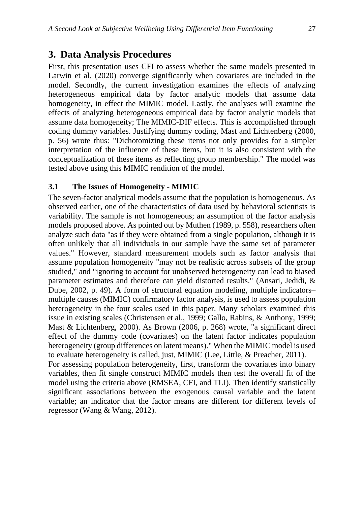### **3. Data Analysis Procedures**

First, this presentation uses CFI to assess whether the same models presented in Larwin et al. (2020) converge significantly when covariates are included in the model. Secondly, the current investigation examines the effects of analyzing heterogeneous empirical data by factor analytic models that assume data homogeneity, in effect the MIMIC model. Lastly, the analyses will examine the effects of analyzing heterogeneous empirical data by factor analytic models that assume data homogeneity; The MIMIC-DIF effects. This is accomplished through coding dummy variables. Justifying dummy coding, Mast and Lichtenberg (2000, p. 56) wrote thus: "Dichotomizing these items not only provides for a simpler interpretation of the influence of these items, but it is also consistent with the conceptualization of these items as reflecting group membership." The model was tested above using this MIMIC rendition of the model.

#### **3.1 The Issues of Homogeneity - MIMIC**

The seven-factor analytical models assume that the population is homogeneous. As observed earlier, one of the characteristics of data used by behavioral scientists is variability. The sample is not homogeneous; an assumption of the factor analysis models proposed above. As pointed out by Muthen (1989, p. 558), researchers often analyze such data "as if they were obtained from a single population, although it is often unlikely that all individuals in our sample have the same set of parameter values." However, standard measurement models such as factor analysis that assume population homogeneity "may not be realistic across subsets of the group studied," and "ignoring to account for unobserved heterogeneity can lead to biased parameter estimates and therefore can yield distorted results." (Ansari, Jedidi, & Dube, 2002, p. 49). A form of structural equation modeling, multiple indicators– multiple causes (MIMIC) confirmatory factor analysis, is used to assess population heterogeneity in the four scales used in this paper. Many scholars examined this issue in existing scales (Christensen et al., 1999; Gallo, Rabins, & Anthony, 1999; Mast & Lichtenberg, 2000). As Brown (2006, p. 268) wrote, "a significant direct effect of the dummy code (covariates) on the latent factor indicates population heterogeneity (group differences on latent means)." When the MIMIC model is used to evaluate heterogeneity is called, just, MIMIC (Lee, Little, & Preacher, 2011). For assessing population heterogeneity, first, transform the covariates into binary variables, then fit single construct MIMIC models then test the overall fit of the model using the criteria above (RMSEA, CFI, and TLI). Then identify statistically significant associations between the exogenous causal variable and the latent variable; an indicator that the factor means are different for different levels of regressor (Wang & Wang, 2012).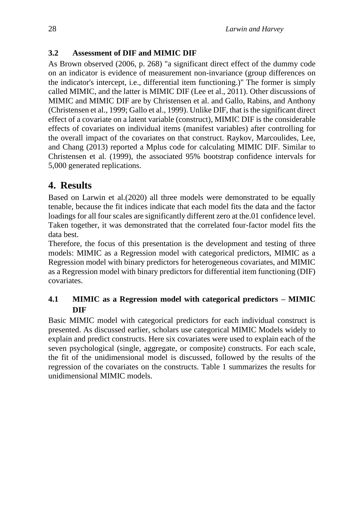### **3.2 Assessment of DIF and MIMIC DIF**

As Brown observed (2006, p. 268) "a significant direct effect of the dummy code on an indicator is evidence of measurement non-invariance (group differences on the indicator's intercept, i.e., differential item functioning.)" The former is simply called MIMIC, and the latter is MIMIC DIF (Lee et al., 2011). Other discussions of MIMIC and MIMIC DIF are by Christensen et al. and Gallo, Rabins, and Anthony (Christensen et al., 1999; Gallo et al., 1999). Unlike DIF, that is the significant direct effect of a covariate on a latent variable (construct), MIMIC DIF is the considerable effects of covariates on individual items (manifest variables) after controlling for the overall impact of the covariates on that construct. Raykov, Marcoulides, Lee, and Chang (2013) reported a Mplus code for calculating MIMIC DIF. Similar to Christensen et al. (1999), the associated 95% bootstrap confidence intervals for 5,000 generated replications.

# **4. Results**

Based on Larwin et al.(2020) all three models were demonstrated to be equally tenable, because the fit indices indicate that each model fits the data and the factor loadings for all four scales are significantly different zero at the.01 confidence level. Taken together, it was demonstrated that the correlated four-factor model fits the data best.

Therefore, the focus of this presentation is the development and testing of three models: MIMIC as a Regression model with categorical predictors, MIMIC as a Regression model with binary predictors for heterogeneous covariates, and MIMIC as a Regression model with binary predictors for differential item functioning (DIF) covariates.

### **4.1 MIMIC as a Regression model with categorical predictors – MIMIC DIF**

Basic MIMIC model with categorical predictors for each individual construct is presented. As discussed earlier, scholars use categorical MIMIC Models widely to explain and predict constructs. Here six covariates were used to explain each of the seven psychological (single, aggregate, or composite) constructs. For each scale, the fit of the unidimensional model is discussed, followed by the results of the regression of the covariates on the constructs. Table 1 summarizes the results for unidimensional MIMIC models.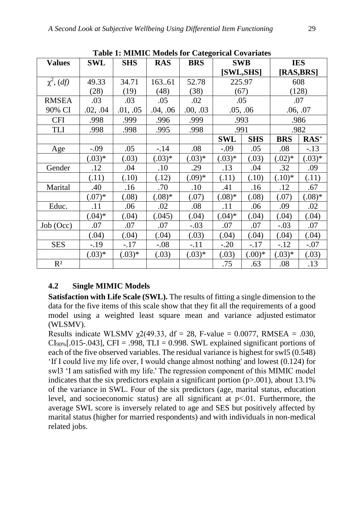| <b>Values</b>     | <b>SWL</b> | <b>SHS</b> | <b>RAS</b> | <b>BRS</b> | <b>SWB</b> |            | <b>IES</b> |          |
|-------------------|------------|------------|------------|------------|------------|------------|------------|----------|
|                   |            |            |            |            | [SWL,SHS]  |            | [RAS,BRS]  |          |
| $\chi^2$ , $(df)$ | 49.33      | 34.71      | 16361      | 52.78      | 225.97     |            | 608        |          |
|                   | (28)       | (19)       | (48)       | (38)       | (67)       |            | (128)      |          |
| <b>RMSEA</b>      | .03        | .03        | .05        | .02        | .05        |            | .07        |          |
| 90% CI            | .02, .04   | .01, .05   | .04, .06   | .00, .03   | .05, .06   |            | .06, .07   |          |
| <b>CFI</b>        | .998       | .999       | .996       | .999       | .993       |            | .986       |          |
| <b>TLI</b>        | .998       | .998       | .995       | .998       | .991       |            | .982       |          |
|                   |            |            |            |            | <b>SWL</b> | <b>SHS</b> | <b>BRS</b> | $RAS+$   |
| Age               | $-0.09$    | .05        | $-14$      | .08        | $-.09$     | .05        | .08        | $-13$    |
|                   | $(.03)*$   | (.03)      | $(.03)*$   | $(.03)*$   | $(.03)*$   | (.03)      | $(.02)*$   | $(.03)*$ |
| Gender            | .12        | .04        | .10        | .29        | .13        | .04        | .32        | .09      |
|                   | (.11)      | (.10)      | (.12)      | $(.09)*$   | (.11)      | (.10)      | $(.10)*$   | (.11)    |
| Marital           | .40        | .16        | .70        | .10        | .41        | .16        | .12        | .67      |
|                   | $(.07)*$   | (.08)      | $(.08)*$   | (.07)      | $(.08)*$   | (.08)      | (.07)      | $(.08)*$ |
| Educ.             | .11        | .06        | .02        | .08        | .11        | .06        | .09        | .02      |
|                   | $(.04)*$   | (.04)      | (.045)     | (.04)      | $(.04)*$   | (.04)      | (.04)      | (.04)    |
| Job (Occ)         | .07        | .07        | .07        | $-.03$     | .07        | .07        | $-.03$     | .07      |
|                   | (.04)      | (.04)      | (.04)      | (.03)      | (.04)      | (.04)      | (.04)      | (.04)    |
| <b>SES</b>        | $-.19$     | $-.17$     | $-.08$     | $-.11$     | $-.20$     | $-.17$     | $-.12$     | $-.07$   |
|                   | $(.03)*$   | $(.03)*$   | (.03)      | $(.03)*$   | (.03)      | (0.00)     | $(.03)*$   | (.03)    |
| $R^2$             |            |            |            |            | .75        | .63        | .08        | .13      |

**Table 1: MIMIC Models for Categorical Covariates**

### **4.2 Single MIMIC Models**

**Satisfaction with Life Scale (SWL).** The results of fitting a single dimension to the data for the five items of this scale show that they fit all the requirements of a good model using a weighted least square mean and variance adjusted estimator (WLSMV).

Results indicate WLSMV  $\chi$ 2(49.33, df = 28, F-value = 0.0077, RMSEA = .030,  $CI<sub>90%</sub>[.015-.043], CFI = .998, TLI = 0.998. SWL explained significant portions of$ each of the five observed variables. The residual variance is highest for swl5 (0.548) 'If I could live my life over, I would change almost nothing' and lowest (0.124) for swl3 'I am satisfied with my life.' The regression component of this MIMIC model indicates that the six predictors explain a significant portion  $(p>0.001)$ , about 13.1% of the variance in SWL. Four of the six predictors (age, marital status, education level, and socioeconomic status) are all significant at  $p<0.01$ . Furthermore, the average SWL score is inversely related to age and SES but positively affected by marital status (higher for married respondents) and with individuals in non-medical related jobs.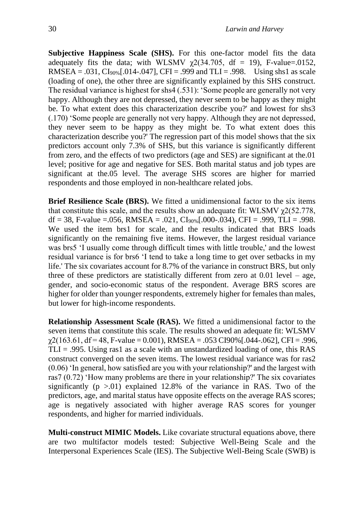**Subjective Happiness Scale (SHS).** For this one-factor model fits the data adequately fits the data; with WLSMV  $\chi$ 2(34.705, df = 19), F-value=.0152, RMSEA =  $.031$ , CI<sub>90%</sub> [ $.014$ - $.047$ ], CFI =  $.999$  and TLI =  $.998$ . Using shs1 as scale (loading of one), the other three are significantly explained by this SHS construct. The residual variance is highest for shs4 (.531): 'Some people are generally not very happy. Although they are not depressed, they never seem to be happy as they might be. To what extent does this characterization describe you?' and lowest for shs3 (.170) 'Some people are generally not very happy. Although they are not depressed, they never seem to be happy as they might be. To what extent does this characterization describe you?' The regression part of this model shows that the six predictors account only 7.3% of SHS, but this variance is significantly different from zero, and the effects of two predictors (age and SES) are significant at the.01 level; positive for age and negative for SES. Both marital status and job types are significant at the.05 level. The average SHS scores are higher for married respondents and those employed in non-healthcare related jobs.

**Brief Resilience Scale (BRS).** We fitted a unidimensional factor to the six items that constitute this scale, and the results show an adequate fit: WLSMV  $\chi$ 2(52.778, df = 38, F-value = .056, RMSEA = .021, CI<sub>90%</sub>[.000-.034), CFI = .999, TLI = .998. We used the item brs1 for scale, and the results indicated that BRS loads significantly on the remaining five items. However, the largest residual variance was brs5 'I usually come through difficult times with little trouble,' and the lowest residual variance is for brs6 'I tend to take a long time to get over setbacks in my life.' The six covariates account for 8.7% of the variance in construct BRS, but only three of these predictors are statistically different from zero at  $0.01$  level – age, gender, and socio-economic status of the respondent. Average BRS scores are higher for older than younger respondents, extremely higher for females than males, but lower for high-income respondents.

**Relationship Assessment Scale (RAS).** We fitted a unidimensional factor to the seven items that constitute this scale. The results showed an adequate fit: WLSMV  $\chi$ 2(163.61, df = 48, F-value = 0.001), RMSEA = .053 CI90% [.044-.062], CFI = .996,  $TLI = .995$ . Using ras1 as a scale with an unstandardized loading of one, this RAS construct converged on the seven items. The lowest residual variance was for ras2 (0.06) 'In general, how satisfied are you with your relationship?' and the largest with ras7 (0.72) 'How many problems are there in your relationship?' The six covariates significantly  $(p > 0.01)$  explained 12.8% of the variance in RAS. Two of the predictors, age, and marital status have opposite effects on the average RAS scores; age is negatively associated with higher average RAS scores for younger respondents, and higher for married individuals.

**Multi-construct MIMIC Models.** Like covariate structural equations above, there are two multifactor models tested: Subjective Well-Being Scale and the Interpersonal Experiences Scale (IES). The Subjective Well-Being Scale (SWB) is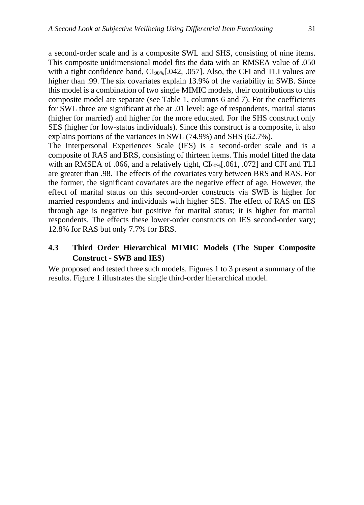a second-order scale and is a composite SWL and SHS, consisting of nine items. This composite unidimensional model fits the data with an RMSEA value of .050 with a tight confidence band,  $CI<sub>90%</sub>$ [.042, .057]. Also, the CFI and TLI values are higher than .99. The six covariates explain 13.9% of the variability in SWB. Since this model is a combination of two single MIMIC models, their contributions to this composite model are separate (see Table 1, columns 6 and 7). For the coefficients for SWL three are significant at the at .01 level: age of respondents, marital status (higher for married) and higher for the more educated. For the SHS construct only SES (higher for low-status individuals). Since this construct is a composite, it also explains portions of the variances in SWL (74.9%) and SHS (62.7%).

The Interpersonal Experiences Scale (IES) is a second-order scale and is a composite of RAS and BRS, consisting of thirteen items. This model fitted the data with an RMSEA of .066, and a relatively tight,  $CI<sub>90%</sub>$ [.061, .072] and CFI and TLI are greater than .98. The effects of the covariates vary between BRS and RAS. For the former, the significant covariates are the negative effect of age. However, the effect of marital status on this second-order constructs via SWB is higher for married respondents and individuals with higher SES. The effect of RAS on IES through age is negative but positive for marital status; it is higher for marital respondents. The effects these lower-order constructs on IES second-order vary; 12.8% for RAS but only 7.7% for BRS.

### **4.3 Third Order Hierarchical MIMIC Models (The Super Composite Construct - SWB and IES)**

We proposed and tested three such models. Figures 1 to 3 present a summary of the results. Figure 1 illustrates the single third-order hierarchical model.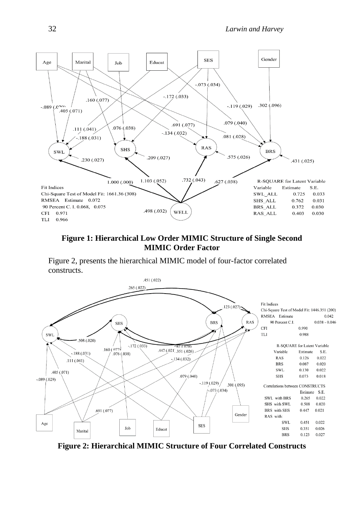

### **Figure 1: Hierarchical Low Order MIMIC Structure of Single Second MIMIC Order Factor**

Figure 2, presents the hierarchical MIMIC model of four-factor correlated constructs.



**Figure 2: Hierarchical MIMIC Structure of Four Correlated Constructs**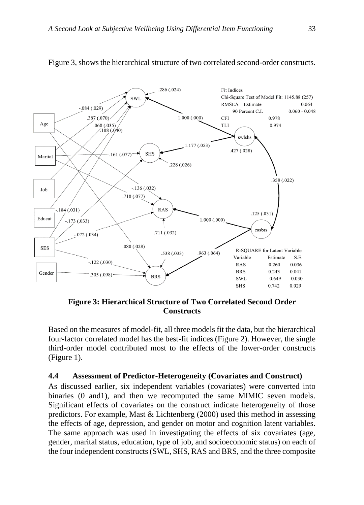

Figure 3, shows the hierarchical structure of two correlated second-order constructs.

**Figure 3: Hierarchical Structure of Two Correlated Second Order Constructs**

Based on the measures of model-fit, all three models fit the data, but the hierarchical four-factor correlated model has the best-fit indices (Figure 2). However, the single third-order model contributed most to the effects of the lower-order constructs (Figure 1).

#### **4.4 Assessment of Predictor-Heterogeneity (Covariates and Construct)**

As discussed earlier, six independent variables (covariates) were converted into binaries (0 and1), and then we recomputed the same MIMIC seven models. Significant effects of covariates on the construct indicate heterogeneity of those predictors. For example, Mast & Lichtenberg (2000) used this method in assessing the effects of age, depression, and gender on motor and cognition latent variables. The same approach was used in investigating the effects of six covariates (age, gender, marital status, education, type of job, and socioeconomic status) on each of the four independent constructs (SWL, SHS, RAS and BRS, and the three composite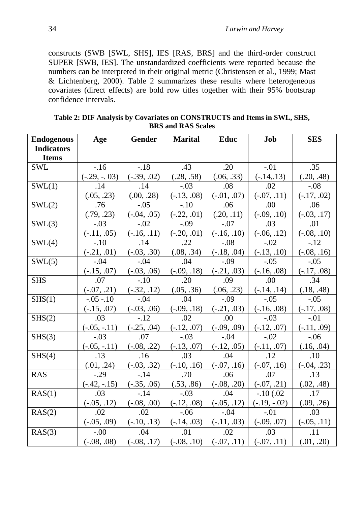constructs (SWB [SWL, SHS], IES [RAS, BRS] and the third-order construct SUPER [SWB, IES]. The unstandardized coefficients were reported because the numbers can be interpreted in their original metric (Christensen et al., 1999; Mast & Lichtenberg, 2000). Table 2 summarizes these results where heterogeneous covariates (direct effects) are bold row titles together with their 95% bootstrap confidence intervals.

| <b>Endogenous</b> | Age            | <b>Gender</b> | <b>Marital</b> | Educ                                        | Job            | <b>SES</b>       |
|-------------------|----------------|---------------|----------------|---------------------------------------------|----------------|------------------|
| <b>Indicators</b> |                |               |                |                                             |                |                  |
| <b>Items</b>      |                |               |                |                                             |                |                  |
| <b>SWL</b>        | $-16$          | $-.18$        | .43            | .20                                         | $-.01$         | .35              |
|                   | $(-.29, -.03)$ | $(-.39, .02)$ | (.28, .58)     | (.06, .33)                                  | $(-.14, .13)$  | (.20, .48)       |
| SWL(1)            | .14            | .14           | $-.03$         | .08                                         | .02            | $-.08$           |
|                   | (.05, .23)     | (.00, .28)    | $(-.13, .08)$  | $(-.01, .07)$                               | $(-.07, .11)$  | $(-.17, .02)$    |
| SWL(2)            | .76            | $-.05$        | $-.10$         | .06                                         | .00            | .06              |
|                   | (.79, .23)     | $(-.04, .05)$ | $(-.22, .01)$  | (.20, .11)                                  | $(-.09, .10)$  | $(-.03, .17)$    |
| SWL(3)            | $-.03$         | $-.02$        | $-.09$         | $-.07$                                      | .03            | .01              |
|                   | $(-.11, .05)$  | $(-.16, .11)$ | $(-.20, .01)$  | $(-.16, .10)$                               | $(-.06, .12)$  | $(-.08, .10)$    |
| SWL(4)            | $-.10$         | .14           | .22            | $-.08$                                      | $-.02$         | $-.12$           |
|                   | $(-.21, .01)$  | $(-.03, .30)$ | (.08, .34)     | $(-.18, .04)$                               | $(-.13, .10)$  | $(-.08, .16)$    |
| SWL(5)            | $-.04$         | $-.04$        | .04            | $-.09$                                      | $-.05$         | $-.05$           |
|                   | $(-.15, .07)$  | $(-.03, .06)$ | $(-.09, .18)$  | $(-.21, .03)$                               | $(-.16, .08)$  | $(-.17, .08)$    |
| <b>SHS</b>        | .07            | $-.10$        | .20            | .09                                         | .00            | .34              |
|                   | $(-.07, .21)$  | $(-.32, .12)$ | (.05, .36)     | (.06, .23)                                  | $(-.14, .14)$  | (.18, .48)       |
| SHS(1)            | $-.05-.10$     | $-.04$        | .04            | $-.09$                                      | $-.05$         | $-.05$           |
|                   | $(-.15, .07)$  | $(-.03, .06)$ | $(-.09, .18)$  | $(-.21, .03)$                               | $(-.16, .08)$  | $(-.17, .08)$    |
| SHS(2)            | .03            | $-.12$        | .02            | .00                                         | $-.03$         | $-.01$           |
|                   | $(-.05, -.11)$ | $(-.25, .04)$ | $(-.12, .07)$  | $(-.09, .09)$                               | $(-.12, .07)$  | $(-.11, .09)$    |
| SHS(3)            | $-.03$         | .07           | $-.03$         | $-.04$                                      | $-.02$         | $-.06$           |
|                   | $(-.05, -.11)$ | $(-.08, .22)$ | $(-.13, .07)$  | $(-.12, .05)$                               | $(-.11, .07)$  | (.16, .04)       |
| SHS(4)            | .13            | .16           | .03            | .04                                         | .12            | .10              |
|                   | (.01, .24)     | $(-.03, .32)$ | $(-.10, .16)$  | $(-.07, .16)$                               | $(-.07, .16)$  | $(-.04, .23)$    |
| <b>RAS</b>        | $-.29$         | $-.14$        | .70            | .06                                         | .07            | $\overline{.13}$ |
|                   | $(-.42, -.15)$ | $(-.35, .06)$ | (.53, .86)     | $(-.08, .20)$                               | $(-.07, .21)$  | (.02, .48)       |
| RAS(1)            | .03            | $-.14$        | $-.03$         | .04                                         | $-.10(.02)$    | .17              |
|                   | $(-.05, .12)$  | $(-.08, .00)$ | $(-.12, .08)$  | $(-.05, .12)$                               | $(-.19, -.02)$ | (.09, .26)       |
| RAS(2)            | .02            | .02           | $-.06$         | $-.04$                                      | $-.01$         | .03              |
|                   | $(-.05, .09)$  | $(-.10, .13)$ | $(-.14, .03)$  | $(-.11, .03)$                               | $(-.09, .07)$  | $(-.05, .11)$    |
| RAS(3)            | $-.00$         | .04           | .01            | .02                                         | .03            | .11              |
|                   | $(-.08, .08)$  | $(-.08, .17)$ | $(-.08, .10)$  | $\vert (-.07, .11) \vert (-.07, .11) \vert$ |                | (.01, .20)       |

**Table 2: DIF Analysis by Covariates on CONSTRUCTS and Items in SWL, SHS, BRS and RAS Scales**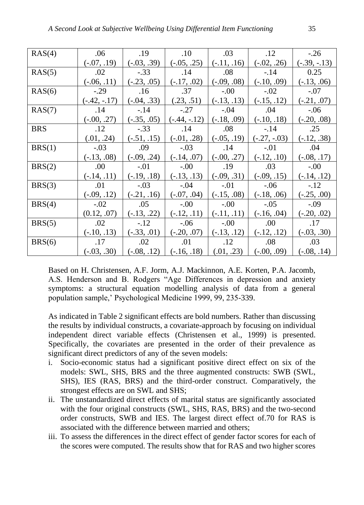| RAS(4)     | .06            | .19           | .10                                      | .03           | .12            | $-.26$         |
|------------|----------------|---------------|------------------------------------------|---------------|----------------|----------------|
|            | $(-.07, .19)$  | $(-.03, .39)$ | $(-.05, .25)$                            | $(-.11, .16)$ | $(-.02, .26)$  | $(-.39, -.13)$ |
| RAS(5)     | .02            | $-.33$        | .14                                      | .08           | $-.14$         | 0.25           |
|            | $(-.06, .11)$  | $(-.23, .05)$ | $(-.17, .02)$                            | $(-.09, .08)$ | $(-.10, .09)$  | $(-.13, .06)$  |
| RAS(6)     | $-.29$         | .16           | .37                                      | $-.00$        | $-.02$         | $-.07$         |
|            | $(-.42, -.17)$ | $(-.04, .33)$ | (.23, .51)                               | $(-.13, .13)$ | $(-.15, .12)$  | $(-.21, .07)$  |
| RAS(7)     | .14            | $-.14$        | $-.27$                                   | $-.04$        | .04            | $-0.06$        |
|            | $(-.00, .27)$  | $(-.35, .05)$ | $(-.44, -.12)$                           | $(-.18, .09)$ | $(-.10, .18)$  | $(-.20, .08)$  |
| <b>BRS</b> | .12            | $-.33$        | .14                                      | .08           | $-.14$         | .25            |
|            | (.01, .24)     | $(-.51, .15)$ | $(-.01, .28)$                            | $(-.05, .19)$ | $(-.27, -.03)$ | $(-.12, .38)$  |
| BRS(1)     | $-.03$         | .09           | $-.03$                                   | .14           | $-.01$         | .04            |
|            | $(-.13, .08)$  | $(-.09, .24)$ | $(-.14, .07)$                            | $(-.00, .27)$ | $(-.12, .10)$  | $(-.08, .17)$  |
| BRS(2)     | .00            | $-.01$        | $-.00$                                   | .19           | .03            | $-0.00$        |
|            | $(-.14, .11)$  | $(-.19, .18)$ | $(-.13, .13)$                            | $(-.09, .31)$ | $(-.09, .15)$  | $(-.14, .12)$  |
| BRS(3)     | .01            | $-.03$        | $-.04$                                   | $-.01$        | $-0.06$        | $-.12$         |
|            | $(-.09, .12)$  | $(-.21, .16)$ | $(-.07, .04)$                            | $(-.15, .08)$ | $(-.18, .06)$  | $(-.25, .00)$  |
| BRS(4)     | $-.02$         | .05           | $-.00$                                   | $-.00$        | $-.05$         | $-.09$         |
|            | (0.12, .07)    | $(-.13, .22)$ | $(-.12, .11)$                            | $(-.11, .11)$ | $(-.16, .04)$  | $(-.20, .02)$  |
| BRS(5)     | .02            | $-.12$        | $-.06$                                   | $-.00$        | .00.           | .17            |
|            | $(-.10, .13)$  | $(-.33, .01)$ | $(-.20, .07)$                            | $(-.13, .12)$ | $(-.12, .12)$  | $(-.03, .30)$  |
| BRS(6)     | .17            | .02           | .01                                      | .12           | .08            | .03            |
|            | $(-.03, .30)$  |               | $(-.08, .12)$ $(-.16, .18)$ $(.01, .23)$ |               | $(-.00, .09)$  | $(-.08, .14)$  |

Based on H. Christensen, A.F. Jorm, A.J. Mackinnon, A.E. Korten, P.A. Jacomb, A.S. Henderson and B. Rodgers "Age Differences in depression and anxiety symptoms: a structural equation modelling analysis of data from a general population sample,' Psychological Medicine 1999, 99, 235-339.

As indicated in Table 2 significant effects are bold numbers. Rather than discussing the results by individual constructs, a covariate-approach by focusing on individual independent direct variable effects (Christensen et al., 1999) is presented. Specifically, the covariates are presented in the order of their prevalence as significant direct predictors of any of the seven models:

- i. Socio-economic status had a significant positive direct effect on six of the models: SWL, SHS, BRS and the three augmented constructs: SWB (SWL, SHS), IES (RAS, BRS) and the third-order construct. Comparatively, the strongest effects are on SWL and SHS;
- ii. The unstandardized direct effects of marital status are significantly associated with the four original constructs (SWL, SHS, RAS, BRS) and the two-second order constructs, SWB and IES. The largest direct effect of.70 for RAS is associated with the difference between married and others;
- iii. To assess the differences in the direct effect of gender factor scores for each of the scores were computed. The results show that for RAS and two higher scores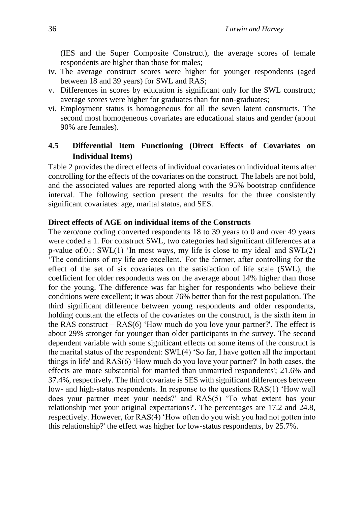(IES and the Super Composite Construct), the average scores of female respondents are higher than those for males;

- iv. The average construct scores were higher for younger respondents (aged between 18 and 39 years) for SWL and RAS;
- v. Differences in scores by education is significant only for the SWL construct; average scores were higher for graduates than for non-graduates;
- vi. Employment status is homogeneous for all the seven latent constructs. The second most homogeneous covariates are educational status and gender (about 90% are females).

### **4.5 Differential Item Functioning (Direct Effects of Covariates on Individual Items)**

Table 2 provides the direct effects of individual covariates on individual items after controlling for the effects of the covariates on the construct. The labels are not bold, and the associated values are reported along with the 95% bootstrap confidence interval. The following section present the results for the three consistently significant covariates: age, marital status, and SES.

### **Direct effects of AGE on individual items of the Constructs**

The zero/one coding converted respondents 18 to 39 years to 0 and over 49 years were coded a 1. For construct SWL, two categories had significant differences at a p-value of.01: SWL(1) 'In most ways, my life is close to my ideal' and SWL(2) 'The conditions of my life are excellent.' For the former, after controlling for the effect of the set of six covariates on the satisfaction of life scale (SWL), the coefficient for older respondents was on the average about 14% higher than those for the young. The difference was far higher for respondents who believe their conditions were excellent; it was about 76% better than for the rest population. The third significant difference between young respondents and older respondents, holding constant the effects of the covariates on the construct, is the sixth item in the RAS construct  $-$  RAS(6) 'How much do you love your partner?'. The effect is about 29% stronger for younger than older participants in the survey. The second dependent variable with some significant effects on some items of the construct is the marital status of the respondent: SWL(4) 'So far, I have gotten all the important things in life' and RAS(6) 'How much do you love your partner?' In both cases, the effects are more substantial for married than unmarried respondents'; 21.6% and 37.4%, respectively. The third covariate is SES with significant differences between low- and high-status respondents. In response to the questions RAS(1) 'How well does your partner meet your needs?' and RAS(5) 'To what extent has your relationship met your original expectations?'. The percentages are 17.2 and 24.8, respectively. However, for RAS(4) 'How often do you wish you had not gotten into this relationship?' the effect was higher for low-status respondents, by 25.7%.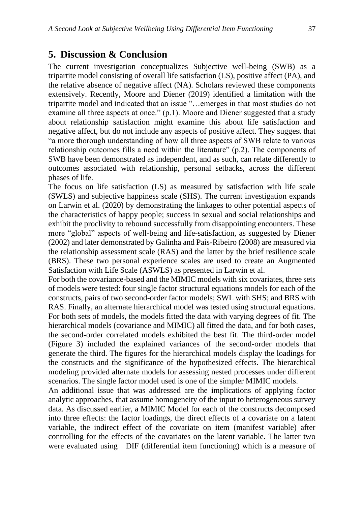### **5. Discussion & Conclusion**

The current investigation conceptualizes Subjective well-being (SWB) as a tripartite model consisting of overall life satisfaction (LS), positive affect (PA), and the relative absence of negative affect (NA). Scholars reviewed these components extensively. Recently, Moore and Diener (2019) identified a limitation with the tripartite model and indicated that an issue "…emerges in that most studies do not examine all three aspects at once." (p.1). Moore and Diener suggested that a study about relationship satisfaction might examine this about life satisfaction and negative affect, but do not include any aspects of positive affect. They suggest that "a more thorough understanding of how all three aspects of SWB relate to various relationship outcomes fills a need within the literature" (p.2). The components of SWB have been demonstrated as independent, and as such, can relate differently to outcomes associated with relationship, personal setbacks, across the different phases of life.

The focus on life satisfaction (LS) as measured by satisfaction with life scale (SWLS) and subjective happiness scale (SHS). The current investigation expands on Larwin et al. (2020) by demonstrating the linkages to other potential aspects of the characteristics of happy people; success in sexual and social relationships and exhibit the proclivity to rebound successfully from disappointing encounters. These more "global" aspects of well-being and life-satisfaction, as suggested by Diener (2002) and later demonstrated by Galinha and Pais-Ribeiro (2008) are measured via the relationship assessment scale (RAS) and the latter by the brief resilience scale (BRS). These two personal experience scales are used to create an Augmented Satisfaction with Life Scale (ASWLS) as presented in Larwin et al.

For both the covariance-based and the MIMIC models with six covariates, three sets of models were tested: four single factor structural equations models for each of the constructs, pairs of two second-order factor models; SWL with SHS; and BRS with RAS. Finally, an alternate hierarchical model was tested using structural equations. For both sets of models, the models fitted the data with varying degrees of fit. The hierarchical models (covariance and MIMIC) all fitted the data, and for both cases, the second-order correlated models exhibited the best fit. The third-order model (Figure 3) included the explained variances of the second-order models that generate the third. The figures for the hierarchical models display the loadings for the constructs and the significance of the hypothesized effects. The hierarchical modeling provided alternate models for assessing nested processes under different scenarios. The single factor model used is one of the simpler MIMIC models.

An additional issue that was addressed are the implications of applying factor analytic approaches, that assume homogeneity of the input to heterogeneous survey data. As discussed earlier, a MIMIC Model for each of the constructs decomposed into three effects: the factor loadings, the direct effects of a covariate on a latent variable, the indirect effect of the covariate on item (manifest variable) after controlling for the effects of the covariates on the latent variable. The latter two were evaluated using DIF (differential item functioning) which is a measure of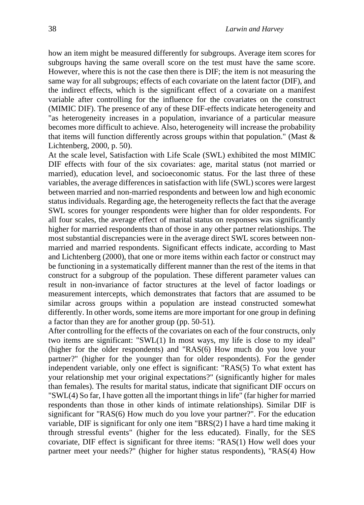how an item might be measured differently for subgroups. Average item scores for subgroups having the same overall score on the test must have the same score. However, where this is not the case then there is DIF; the item is not measuring the same way for all subgroups; effects of each covariate on the latent factor (DIF), and the indirect effects, which is the significant effect of a covariate on a manifest variable after controlling for the influence for the covariates on the construct (MIMIC DIF). The presence of any of these DIF-effects indicate heterogeneity and "as heterogeneity increases in a population, invariance of a particular measure becomes more difficult to achieve. Also, heterogeneity will increase the probability that items will function differently across groups within that population." (Mast  $\&$ Lichtenberg, 2000, p. 50).

At the scale level, Satisfaction with Life Scale (SWL) exhibited the most MIMIC DIF effects with four of the six covariates: age, marital status (not married or married), education level, and socioeconomic status. For the last three of these variables, the average differences in satisfaction with life (SWL) scores were largest between married and non-married respondents and between low and high economic status individuals. Regarding age, the heterogeneity reflects the fact that the average SWL scores for younger respondents were higher than for older respondents. For all four scales, the average effect of marital status on responses was significantly higher for married respondents than of those in any other partner relationships. The most substantial discrepancies were in the average direct SWL scores between nonmarried and married respondents. Significant effects indicate, according to Mast and Lichtenberg (2000), that one or more items within each factor or construct may be functioning in a systematically different manner than the rest of the items in that construct for a subgroup of the population. These different parameter values can result in non-invariance of factor structures at the level of factor loadings or measurement intercepts, which demonstrates that factors that are assumed to be similar across groups within a population are instead constructed somewhat differently. In other words, some items are more important for one group in defining a factor than they are for another group (pp. 50-51).

After controlling for the effects of the covariates on each of the four constructs, only two items are significant: "SWL(1) In most ways, my life is close to my ideal" (higher for the older respondents) and "RAS(6) How much do you love your partner?" (higher for the younger than for older respondents). For the gender independent variable, only one effect is significant: "RAS(5) To what extent has your relationship met your original expectations?" (significantly higher for males than females). The results for marital status, indicate that significant DIF occurs on "SWL(4) So far, I have gotten all the important things in life" (far higher for married respondents than those in other kinds of intimate relationships). Similar DIF is significant for "RAS(6) How much do you love your partner?". For the education variable, DIF is significant for only one item "BRS(2) I have a hard time making it through stressful events" (higher for the less educated). Finally, for the SES covariate, DIF effect is significant for three items: "RAS(1) How well does your partner meet your needs?" (higher for higher status respondents), "RAS(4) How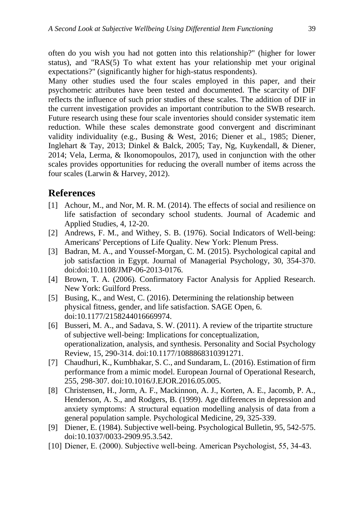often do you wish you had not gotten into this relationship?" (higher for lower status), and "RAS(5) To what extent has your relationship met your original expectations?" (significantly higher for high-status respondents).

Many other studies used the four scales employed in this paper, and their psychometric attributes have been tested and documented. The scarcity of DIF reflects the influence of such prior studies of these scales. The addition of DIF in the current investigation provides an important contribution to the SWB research. Future research using these four scale inventories should consider systematic item reduction. While these scales demonstrate good convergent and discriminant validity individuality (e.g., Busing & West, 2016; Diener et al., 1985; Diener, Inglehart & Tay, 2013; Dinkel & Balck, 2005; Tay, Ng, Kuykendall, & Diener, 2014; Vela, Lerma, & Ikonomopoulos, 2017), used in conjunction with the other scales provides opportunities for reducing the overall number of items across the four scales (Larwin & Harvey, 2012).

# **References**

- [1] Achour, M., and Nor, M. R. M. (2014). The effects of social and resilience on life satisfaction of secondary school students. Journal of Academic and Applied Studies, 4, 12-20.
- [2] Andrews, F. M., and Withey, S. B. (1976). Social Indicators of Well-being: Americans' Perceptions of Life Quality. New York: Plenum Press.
- [3] Badran, M. A., and Youssef-Morgan, C. M. (2015). Psychological capital and job satisfaction in Egypt. Journal of Managerial Psychology, 30, 354-370. doi:doi:10.1108/JMP-06-2013-0176.
- [4] Brown, T. A. (2006). Confirmatory Factor Analysis for Applied Research. New York: Guilford Press.
- [5] Busing, K., and West, C. (2016). Determining the relationship between physical fitness, gender, and life satisfaction. SAGE Open, 6. doi:10.1177/2158244016669974.
- [6] Busseri, M. A., and Sadava, S. W. (2011). A review of the tripartite structure of subjective well-being: Implications for conceptualization, operationalization, analysis, and synthesis. Personality and Social Psychology Review, 15, 290-314. doi:10.1177/1088868310391271.
- [7] Chaudhuri, K., Kumbhakar, S. C., and Sundaram, L. (2016). Estimation of firm performance from a mimic model. European Journal of Operational Research, 255, 298-307. doi:10.1016/J.EJOR.2016.05.005.
- [8] Christensen, H., Jorm, A. F., Mackinnon, A. J., Korten, A. E., Jacomb, P. A., Henderson, A. S., and Rodgers, B. (1999). Age differences in depression and anxiety symptoms: A structural equation modelling analysis of data from a general population sample. Psychological Medicine, 29, 325-339.
- [9] Diener, E. (1984). Subjective well-being. Psychological Bulletin, 95, 542-575. doi:10.1037/0033-2909.95.3.542.
- [10] Diener, E. (2000). Subjective well-being. American Psychologist, 55, 34-43.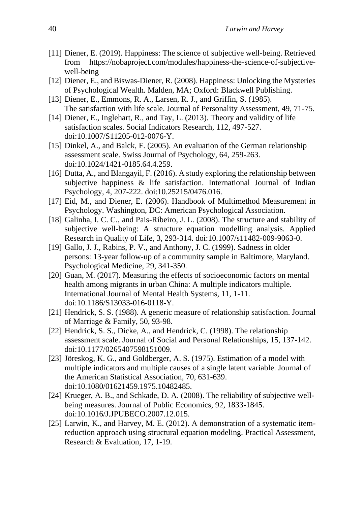- [11] Diener, E. (2019). Happiness: The science of subjective well-being. Retrieved from https://nobaproject.com/modules/happiness-the-science-of-subjectivewell-being
- [12] Diener, E., and Biswas-Diener, R. (2008). Happiness: Unlocking the Mysteries of Psychological Wealth. Malden, MA; Oxford: Blackwell Publishing.
- [13] Diener, E., Emmons, R. A., Larsen, R. J., and Griffin, S. (1985). The satisfaction with life scale. Journal of Personality Assessment, 49, 71-75.
- [14] Diener, E., Inglehart, R., and Tay, L. (2013). Theory and validity of life satisfaction scales. Social Indicators Research, 112, 497-527. doi:10.1007/S11205-012-0076-Y.
- [15] Dinkel, A., and Balck, F. (2005). An evaluation of the German relationship assessment scale. Swiss Journal of Psychology, 64, 259-263. doi:10.1024/1421-0185.64.4.259.
- [16] Dutta, A., and Blangayil, F. (2016). A study exploring the relationship between subjective happiness & life satisfaction. International Journal of Indian Psychology, 4, 207-222. doi:10.25215/0476.016.
- [17] Eid, M., and Diener, E. (2006). Handbook of Multimethod Measurement in Psychology. Washington, DC: American Psychological Association.
- [18] Galinha, I. C. C., and Pais-Ribeiro, J. L. (2008). The structure and stability of subjective well-being: A structure equation modelling analysis. Applied Research in Quality of Life, 3, 293-314. doi:10.1007/s11482-009-9063-0.
- [19] Gallo, J. J., Rabins, P. V., and Anthony, J. C. (1999). Sadness in older persons: 13-year follow-up of a community sample in Baltimore, Maryland. Psychological Medicine, 29, 341-350.
- [20] Guan, M. (2017). Measuring the effects of socioeconomic factors on mental health among migrants in urban China: A multiple indicators multiple. International Journal of Mental Health Systems, 11, 1-11. doi:10.1186/S13033-016-0118-Y.
- [21] Hendrick, S. S. (1988). A generic measure of relationship satisfaction. Journal of Marriage & Family, 50, 93-98.
- [22] Hendrick, S. S., Dicke, A., and Hendrick, C. (1998). The relationship assessment scale. Journal of Social and Personal Relationships, 15, 137-142. doi:10.1177/0265407598151009.
- [23] Jöreskog, K. G., and Goldberger, A. S. (1975). Estimation of a model with multiple indicators and multiple causes of a single latent variable. Journal of the American Statistical Association, 70, 631-639. doi:10.1080/01621459.1975.10482485.
- [24] Krueger, A. B., and Schkade, D. A. (2008). The reliability of subjective wellbeing measures. Journal of Public Economics, 92, 1833-1845. doi:10.1016/J.JPUBECO.2007.12.015.
- [25] Larwin, K., and Harvey, M. E. (2012). A demonstration of a systematic itemreduction approach using structural equation modeling. Practical Assessment, Research & Evaluation, 17, 1-19.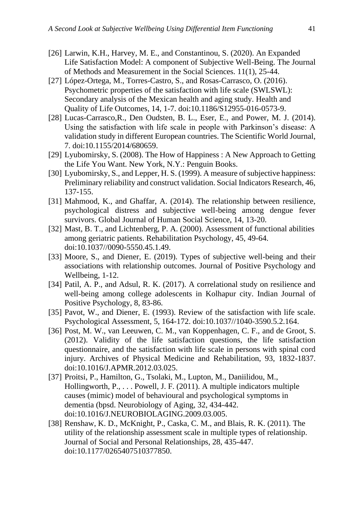- [26] Larwin, K.H., Harvey, M. E., and Constantinou, S. (2020). An Expanded Life Satisfaction Model: A component of Subjective Well-Being. The Journal of Methods and Measurement in the Social Sciences. 11(1), 25-44.
- [27] López-Ortega, M., Torres-Castro, S., and Rosas-Carrasco, O. (2016). Psychometric properties of the satisfaction with life scale (SWLSWL): Secondary analysis of the Mexican health and aging study. Health and Quality of Life Outcomes, 14, 1-7. doi:10.1186/S12955-016-0573-9.
- [28] Lucas-Carrasco, R., Den Oudsten, B. L., Eser, E., and Power, M. J. (2014). Using the satisfaction with life scale in people with Parkinson's disease: A validation study in different European countries. The Scientific World Journal, 7. doi:10.1155/2014/680659.
- [29] Lyubomirsky, S. (2008). The How of Happiness : A New Approach to Getting the Life You Want. New York, N.Y.: Penguin Books.
- [30] Lyubomirsky, S., and Lepper, H. S. (1999). A measure of subjective happiness: Preliminary reliability and construct validation. Social Indicators Research, 46, 137-155.
- [31] Mahmood, K., and Ghaffar, A. (2014). The relationship between resilience, psychological distress and subjective well-being among dengue fever survivors. Global Journal of Human Social Science, 14, 13-20.
- [32] Mast, B. T., and Lichtenberg, P. A. (2000). Assessment of functional abilities among geriatric patients. Rehabilitation Psychology, 45, 49-64. doi:10.1037//0090-5550.45.1.49.
- [33] Moore, S., and Diener, E. (2019). Types of subjective well-being and their associations with relationship outcomes. Journal of Positive Psychology and Wellbeing, 1-12.
- [34] Patil, A. P., and Adsul, R. K. (2017). A correlational study on resilience and well-being among college adolescents in Kolhapur city. Indian Journal of Positive Psychology, 8, 83-86.
- [35] Pavot, W., and Diener, E. (1993). Review of the satisfaction with life scale. Psychological Assessment, 5, 164-172. doi:10.1037//1040-3590.5.2.164.
- [36] Post, M. W., van Leeuwen, C. M., van Koppenhagen, C. F., and de Groot, S. (2012). Validity of the life satisfaction questions, the life satisfaction questionnaire, and the satisfaction with life scale in persons with spinal cord injury. Archives of Physical Medicine and Rehabilitation, 93, 1832-1837. doi:10.1016/J.APMR.2012.03.025.
- [37] Proitsi, P., Hamilton, G., Tsolaki, M., Lupton, M., Daniilidou, M., Hollingworth, P., . . . Powell, J. F. (2011). A multiple indicators multiple causes (mimic) model of behavioural and psychological symptoms in dementia (bpsd. Neurobiology of Aging, 32, 434-442. doi:10.1016/J.NEUROBIOLAGING.2009.03.005.
- [38] Renshaw, K. D., McKnight, P., Caska, C. M., and Blais, R. K. (2011). The utility of the relationship assessment scale in multiple types of relationship. Journal of Social and Personal Relationships, 28, 435-447. doi:10.1177/0265407510377850.